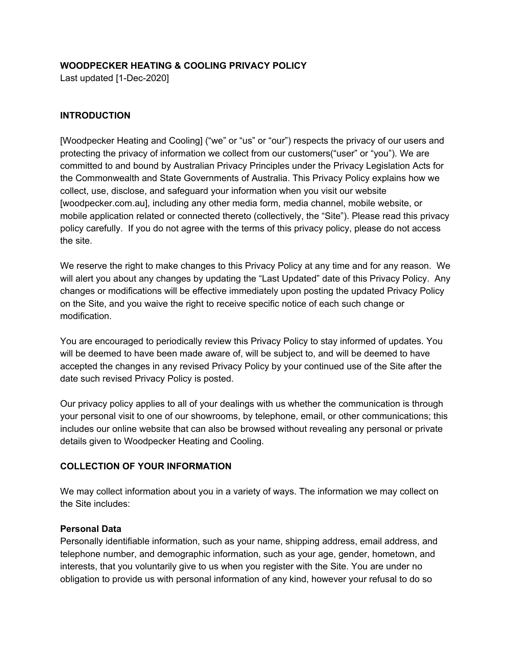# **WOODPECKER HEATING & COOLING PRIVACY POLICY**

Last updated [1-Dec-2020]

## **INTRODUCTION**

[Woodpecker Heating and Cooling] ("we" or "us" or "our") respects the privacy of our users and protecting the privacy of information we collect from our customers("user" or "you"). We are committed to and bound by Australian Privacy Principles under the Privacy Legislation Acts for the Commonwealth and State Governments of Australia. This Privacy Policy explains how we collect, use, disclose, and safeguard your information when you visit our website [woodpecker.com.au], including any other media form, media channel, mobile website, or mobile application related or connected thereto (collectively, the "Site"). Please read this privacy policy carefully. If you do not agree with the terms of this privacy policy, please do not access the site.

We reserve the right to make changes to this Privacy Policy at any time and for any reason. We will alert you about any changes by updating the "Last Updated" date of this Privacy Policy. Any changes or modifications will be effective immediately upon posting the updated Privacy Policy on the Site, and you waive the right to receive specific notice of each such change or modification.

You are encouraged to periodically review this Privacy Policy to stay informed of updates. You will be deemed to have been made aware of, will be subject to, and will be deemed to have accepted the changes in any revised Privacy Policy by your continued use of the Site after the date such revised Privacy Policy is posted.

Our privacy policy applies to all of your dealings with us whether the communication is through your personal visit to one of our showrooms, by telephone, email, or other communications; this includes our online website that can also be browsed without revealing any personal or private details given to Woodpecker Heating and Cooling.

# **COLLECTION OF YOUR INFORMATION**

We may collect information about you in a variety of ways. The information we may collect on the Site includes:

# **Personal Data**

Personally identifiable information, such as your name, shipping address, email address, and telephone number, and demographic information, such as your age, gender, hometown, and interests, that you voluntarily give to us when you register with the Site. You are under no obligation to provide us with personal information of any kind, however your refusal to do so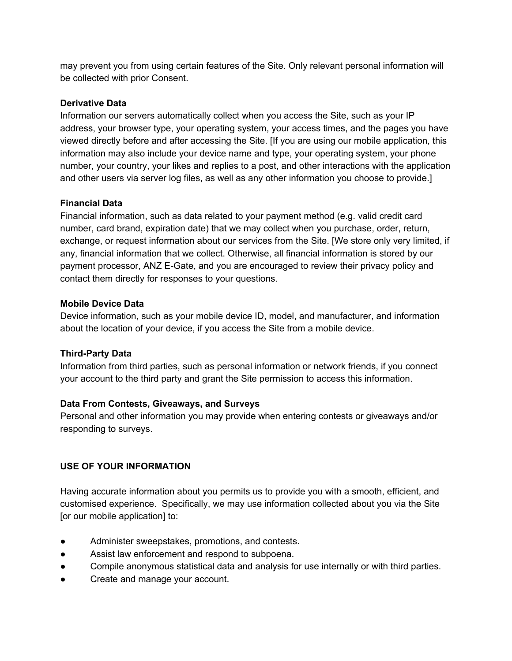may prevent you from using certain features of the Site. Only relevant personal information will be collected with prior Consent.

## **Derivative Data**

Information our servers automatically collect when you access the Site, such as your IP address, your browser type, your operating system, your access times, and the pages you have viewed directly before and after accessing the Site. [If you are using our mobile application, this information may also include your device name and type, your operating system, your phone number, your country, your likes and replies to a post, and other interactions with the application and other users via server log files, as well as any other information you choose to provide.]

### **Financial Data**

Financial information, such as data related to your payment method (e.g. valid credit card number, card brand, expiration date) that we may collect when you purchase, order, return, exchange, or request information about our services from the Site. [We store only very limited, if any, financial information that we collect. Otherwise, all financial information is stored by our payment processor, ANZ E-Gate, and you are encouraged to review their privacy policy and contact them directly for responses to your questions.

### **Mobile Device Data**

Device information, such as your mobile device ID, model, and manufacturer, and information about the location of your device, if you access the Site from a mobile device.

# **Third-Party Data**

Information from third parties, such as personal information or network friends, if you connect your account to the third party and grant the Site permission to access this information.

# **Data From Contests, Giveaways, and Surveys**

Personal and other information you may provide when entering contests or giveaways and/or responding to surveys.

# **USE OF YOUR INFORMATION**

Having accurate information about you permits us to provide you with a smooth, efficient, and customised experience. Specifically, we may use information collected about you via the Site [or our mobile application] to:

- Administer sweepstakes, promotions, and contests.
- Assist law enforcement and respond to subpoena.
- Compile anonymous statistical data and analysis for use internally or with third parties.
- Create and manage your account.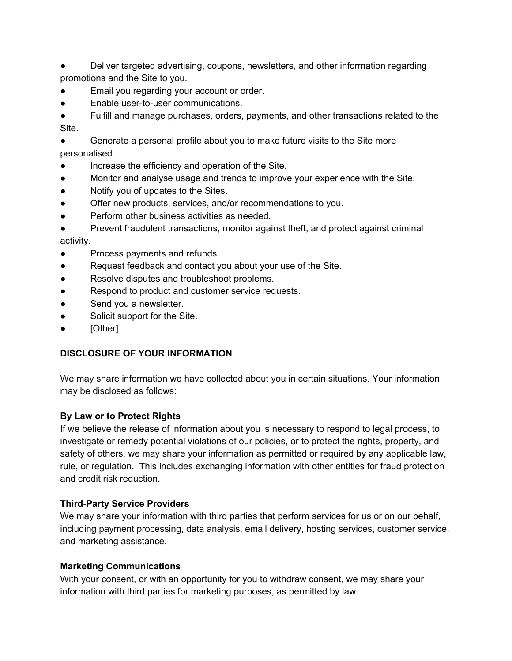Deliver targeted advertising, coupons, newsletters, and other information regarding promotions and the Site to you.

- Email you regarding your account or order.
- Enable user-to-user communications.
- Fulfill and manage purchases, orders, payments, and other transactions related to the Site.

● Generate a personal profile about you to make future visits to the Site more personalised.

- Increase the efficiency and operation of the Site.
- Monitor and analyse usage and trends to improve your experience with the Site.
- Notify you of updates to the Sites.
- Offer new products, services, and/or recommendations to you.
- Perform other business activities as needed.
- Prevent fraudulent transactions, monitor against theft, and protect against criminal activity.
- Process payments and refunds.
- Request feedback and contact you about your use of the Site.
- Resolve disputes and troubleshoot problems.
- Respond to product and customer service requests.
- Send you a newsletter.
- Solicit support for the Site.
- [Other]

# **DISCLOSURE OF YOUR INFORMATION**

We may share information we have collected about you in certain situations. Your information may be disclosed as follows:

# **By Law or to Protect Rights**

If we believe the release of information about you is necessary to respond to legal process, to investigate or remedy potential violations of our policies, or to protect the rights, property, and safety of others, we may share your information as permitted or required by any applicable law, rule, or regulation. This includes exchanging information with other entities for fraud protection and credit risk reduction.

# **Third-Party Service Providers**

We may share your information with third parties that perform services for us or on our behalf, including payment processing, data analysis, email delivery, hosting services, customer service, and marketing assistance.

# **Marketing Communications**

With your consent, or with an opportunity for you to withdraw consent, we may share your information with third parties for marketing purposes, as permitted by law.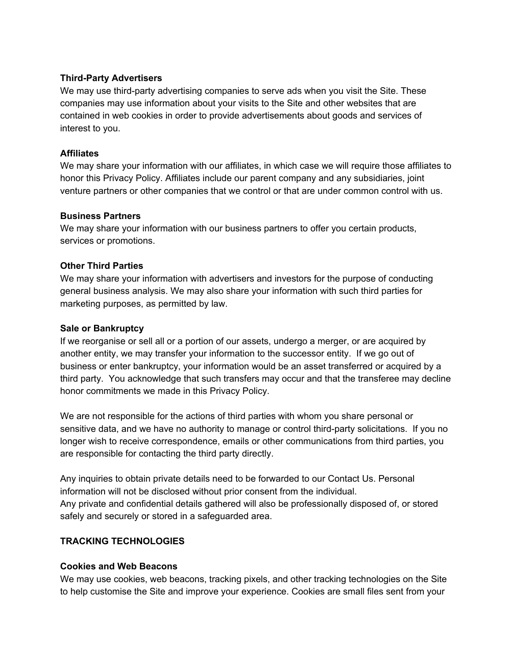### **Third-Party Advertisers**

We may use third-party advertising companies to serve ads when you visit the Site. These companies may use information about your visits to the Site and other websites that are contained in web cookies in order to provide advertisements about goods and services of interest to you.

#### **Affiliates**

We may share your information with our affiliates, in which case we will require those affiliates to honor this Privacy Policy. Affiliates include our parent company and any subsidiaries, joint venture partners or other companies that we control or that are under common control with us.

### **Business Partners**

We may share your information with our business partners to offer you certain products, services or promotions.

### **Other Third Parties**

We may share your information with advertisers and investors for the purpose of conducting general business analysis. We may also share your information with such third parties for marketing purposes, as permitted by law.

### **Sale or Bankruptcy**

If we reorganise or sell all or a portion of our assets, undergo a merger, or are acquired by another entity, we may transfer your information to the successor entity. If we go out of business or enter bankruptcy, your information would be an asset transferred or acquired by a third party. You acknowledge that such transfers may occur and that the transferee may decline honor commitments we made in this Privacy Policy.

We are not responsible for the actions of third parties with whom you share personal or sensitive data, and we have no authority to manage or control third-party solicitations. If you no longer wish to receive correspondence, emails or other communications from third parties, you are responsible for contacting the third party directly.

Any inquiries to obtain private details need to be forwarded to our Contact Us. Personal information will not be disclosed without prior consent from the individual. Any private and confidential details gathered will also be professionally disposed of, or stored safely and securely or stored in a safeguarded area.

# **TRACKING TECHNOLOGIES**

#### **Cookies and Web Beacons**

We may use cookies, web beacons, tracking pixels, and other tracking technologies on the Site to help customise the Site and improve your experience. Cookies are small files sent from your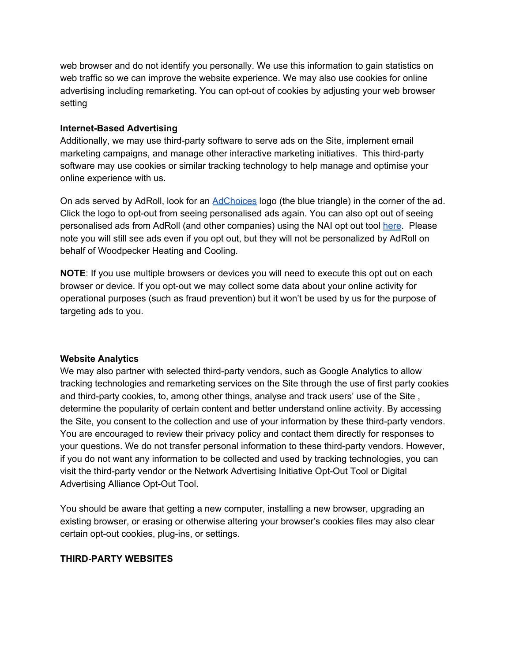web browser and do not identify you personally. We use this information to gain statistics on web traffic so we can improve the website experience. We may also use cookies for online advertising including remarketing. You can opt-out of cookies by adjusting your web browser setting

#### **Internet-Based Advertising**

Additionally, we may use third-party software to serve ads on the Site, implement email marketing campaigns, and manage other interactive marketing initiatives. This third-party software may use cookies or similar tracking technology to help manage and optimise your online experience with us.

O[n](http://www.youradchoices.com/) ads served by AdRoll, look for an **[AdChoices](http://www.youradchoices.com/)** logo (the blue triangle) in the corner of the ad. Click the logo to opt-out from seeing personalised ads again. You can also opt out of seeing personalised ads from AdRoll (and other companies) using the NAI opt out too[l](http://optout.networkadvertising.org/) [here](http://optout.networkadvertising.org/). Please note you will still see ads even if you opt out, but they will not be personalized by AdRoll on behalf of Woodpecker Heating and Cooling.

**NOTE**: If you use multiple browsers or devices you will need to execute this opt out on each browser or device. If you opt-out we may collect some data about your online activity for operational purposes (such as fraud prevention) but it won't be used by us for the purpose of targeting ads to you.

#### **Website Analytics**

We may also partner with selected third-party vendors, such as Google Analytics to allow tracking technologies and remarketing services on the Site through the use of first party cookies and third-party cookies, to, among other things, analyse and track users' use of the Site , determine the popularity of certain content and better understand online activity. By accessing the Site, you consent to the collection and use of your information by these third-party vendors. You are encouraged to review their privacy policy and contact them directly for responses to your questions. We do not transfer personal information to these third-party vendors. However, if you do not want any information to be collected and used by tracking technologies, you can visit the third-party vendor or the Network Advertising Initiative Opt-Out Tool or Digital Advertising Alliance Opt-Out Tool.

You should be aware that getting a new computer, installing a new browser, upgrading an existing browser, or erasing or otherwise altering your browser's cookies files may also clear certain opt-out cookies, plug-ins, or settings.

#### **THIRD-PARTY WEBSITES**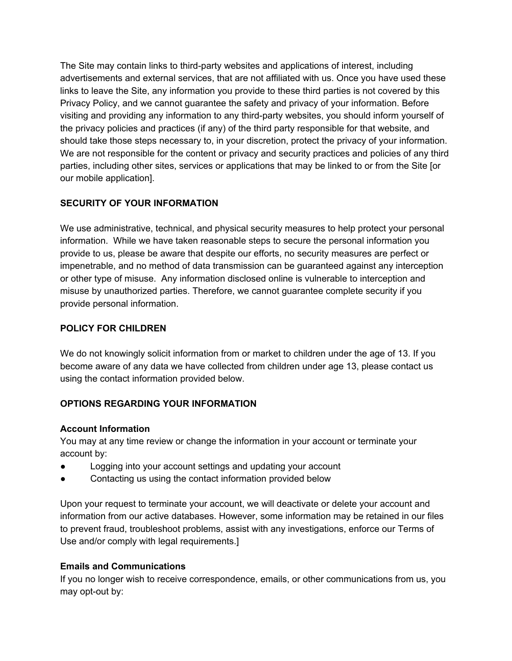The Site may contain links to third-party websites and applications of interest, including advertisements and external services, that are not affiliated with us. Once you have used these links to leave the Site, any information you provide to these third parties is not covered by this Privacy Policy, and we cannot guarantee the safety and privacy of your information. Before visiting and providing any information to any third-party websites, you should inform yourself of the privacy policies and practices (if any) of the third party responsible for that website, and should take those steps necessary to, in your discretion, protect the privacy of your information. We are not responsible for the content or privacy and security practices and policies of any third parties, including other sites, services or applications that may be linked to or from the Site [or our mobile application].

# **SECURITY OF YOUR INFORMATION**

We use administrative, technical, and physical security measures to help protect your personal information. While we have taken reasonable steps to secure the personal information you provide to us, please be aware that despite our efforts, no security measures are perfect or impenetrable, and no method of data transmission can be guaranteed against any interception or other type of misuse. Any information disclosed online is vulnerable to interception and misuse by unauthorized parties. Therefore, we cannot guarantee complete security if you provide personal information.

# **POLICY FOR CHILDREN**

We do not knowingly solicit information from or market to children under the age of 13. If you become aware of any data we have collected from children under age 13, please contact us using the contact information provided below.

# **OPTIONS REGARDING YOUR INFORMATION**

# **Account Information**

You may at any time review or change the information in your account or terminate your account by:

- Logging into your account settings and updating your account
- Contacting us using the contact information provided below

Upon your request to terminate your account, we will deactivate or delete your account and information from our active databases. However, some information may be retained in our files to prevent fraud, troubleshoot problems, assist with any investigations, enforce our Terms of Use and/or comply with legal requirements.]

# **Emails and Communications**

If you no longer wish to receive correspondence, emails, or other communications from us, you may opt-out by: